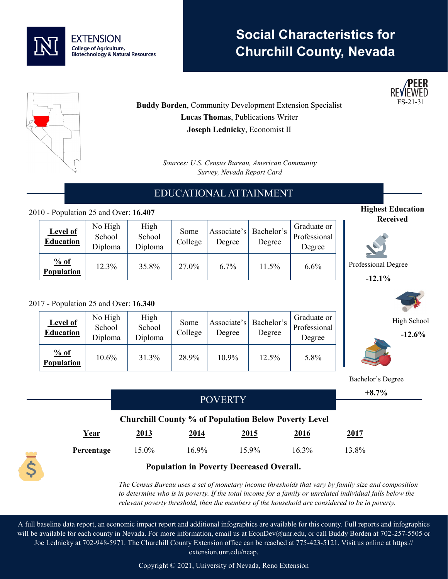

# **Social Characteristics for Churchill County, Nevada**



**Highest Education Received**

> High School **-12.6%**

Professional Degree **-12.1%**



**Buddy Borden, Community Development Extension Specialist Lucas Thomas**, Publications Writer **Joseph Lednicky**, Economist II

> *Sources: U.S. Census Bureau, American Community Survey, Nevada Report Card*

# EDUCATIONAL ATTAINMENT

### 2010 - Population 25 and Over: **16,407**

| <b>Level of</b><br><b>Education</b> | No High<br>School<br>Diploma | High<br>School<br>Diploma | Some<br>College | Associate's   Bachelor's<br>Degree | Degree | Graduate or<br>Professional<br>Degree |
|-------------------------------------|------------------------------|---------------------------|-----------------|------------------------------------|--------|---------------------------------------|
| % of<br>Population                  | 12.3%                        | 35.8%                     | 27.0%           | 6.7%                               | 11.5%  | 6.6%                                  |

#### 2017 - Population 25 and Over: **16,340**

| <b>Level of</b><br><b>Education</b> | No High<br>School<br>Diploma | High<br>School<br>Diploma | Some<br>College | Degree | Associate's   Bachelor's<br>Degree | Graduate or<br>Professional<br>Degree |
|-------------------------------------|------------------------------|---------------------------|-----------------|--------|------------------------------------|---------------------------------------|
| % of<br>Population                  | 10.6%                        | 31.3%                     | 28.9%           | 10.9%  | 12.5%                              | 5.8%                                  |

|  |                                                             |             |          |       |             | Bachelor's Degree |  |  |
|--|-------------------------------------------------------------|-------------|----------|-------|-------------|-------------------|--|--|
|  |                                                             |             |          |       |             |                   |  |  |
|  | <b>POVERTY</b>                                              |             |          |       |             |                   |  |  |
|  | <b>Churchill County % of Population Below Poverty Level</b> |             |          |       |             |                   |  |  |
|  | Year                                                        | <u>2013</u> | 2014     | 2015  | <u>2016</u> | <u>2017</u>       |  |  |
|  | Percentage                                                  | 15.0%       | $16.9\%$ | 15.9% | $16.3\%$    | 13.8%             |  |  |
|  |                                                             |             |          |       |             |                   |  |  |

*The Census Bureau uses a set of monetary income thresholds that vary by family size and composition to determine who is in poverty. If the total income for a family or unrelated individual falls below the relevant poverty threshold, then the members of the household are considered to be in poverty.* 

A full baseline data report, an economic impact report and additional infographics are available for this county. Full reports and infographics will be available for each county in Nevada. For more information, email us at EconDev@unr.edu, or call Buddy Borden at 702-257-5505 or Joe Lednicky at 702-948-5971. The Churchill County Extension office can be reached at 775-423-5121. Visit us online at https:// extension.unr.edu/neap.

Copyright © 2021, University of Nevada, Reno Extension